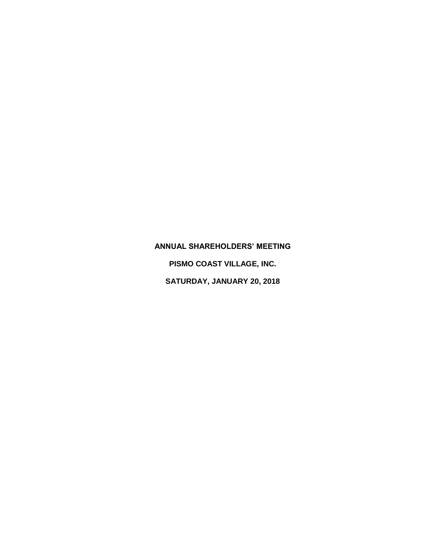## **ANNUAL SHAREHOLDERS' MEETING**

**PISMO COAST VILLAGE, INC.**

**SATURDAY, JANUARY 20, 2018**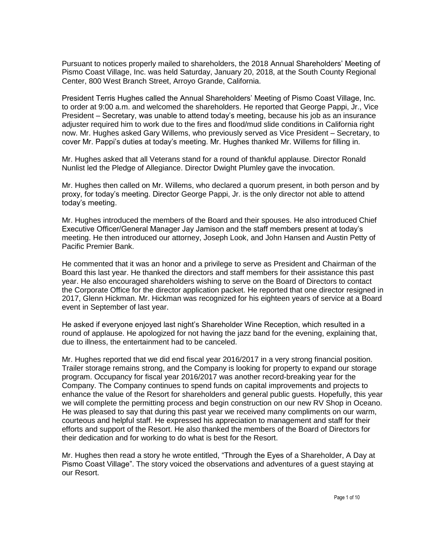Pursuant to notices properly mailed to shareholders, the 2018 Annual Shareholders' Meeting of Pismo Coast Village, Inc. was held Saturday, January 20, 2018, at the South County Regional Center, 800 West Branch Street, Arroyo Grande, California.

President Terris Hughes called the Annual Shareholders' Meeting of Pismo Coast Village, Inc. to order at 9:00 a.m. and welcomed the shareholders. He reported that George Pappi, Jr., Vice President – Secretary, was unable to attend today's meeting, because his job as an insurance adjuster required him to work due to the fires and flood/mud slide conditions in California right now. Mr. Hughes asked Gary Willems, who previously served as Vice President – Secretary, to cover Mr. Pappi's duties at today's meeting. Mr. Hughes thanked Mr. Willems for filling in.

Mr. Hughes asked that all Veterans stand for a round of thankful applause. Director Ronald Nunlist led the Pledge of Allegiance. Director Dwight Plumley gave the invocation.

Mr. Hughes then called on Mr. Willems, who declared a quorum present, in both person and by proxy, for today's meeting. Director George Pappi, Jr. is the only director not able to attend today's meeting.

Mr. Hughes introduced the members of the Board and their spouses. He also introduced Chief Executive Officer/General Manager Jay Jamison and the staff members present at today's meeting. He then introduced our attorney, Joseph Look, and John Hansen and Austin Petty of Pacific Premier Bank.

He commented that it was an honor and a privilege to serve as President and Chairman of the Board this last year. He thanked the directors and staff members for their assistance this past year. He also encouraged shareholders wishing to serve on the Board of Directors to contact the Corporate Office for the director application packet. He reported that one director resigned in 2017, Glenn Hickman. Mr. Hickman was recognized for his eighteen years of service at a Board event in September of last year.

He asked if everyone enjoyed last night's Shareholder Wine Reception, which resulted in a round of applause. He apologized for not having the jazz band for the evening, explaining that, due to illness, the entertainment had to be canceled.

Mr. Hughes reported that we did end fiscal year 2016/2017 in a very strong financial position. Trailer storage remains strong, and the Company is looking for property to expand our storage program. Occupancy for fiscal year 2016/2017 was another record-breaking year for the Company. The Company continues to spend funds on capital improvements and projects to enhance the value of the Resort for shareholders and general public guests. Hopefully, this year we will complete the permitting process and begin construction on our new RV Shop in Oceano. He was pleased to say that during this past year we received many compliments on our warm, courteous and helpful staff. He expressed his appreciation to management and staff for their efforts and support of the Resort. He also thanked the members of the Board of Directors for their dedication and for working to do what is best for the Resort.

Mr. Hughes then read a story he wrote entitled, "Through the Eyes of a Shareholder, A Day at Pismo Coast Village". The story voiced the observations and adventures of a guest staying at our Resort.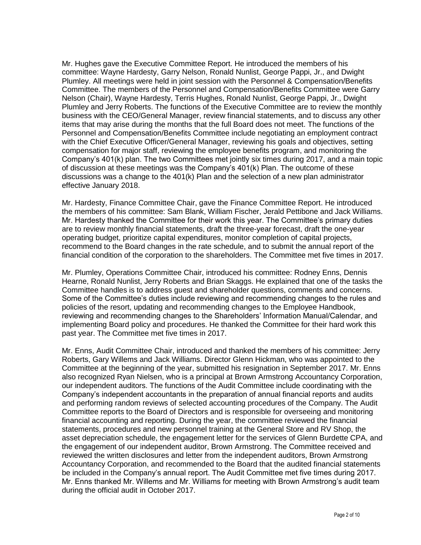Mr. Hughes gave the Executive Committee Report. He introduced the members of his committee: Wayne Hardesty, Garry Nelson, Ronald Nunlist, George Pappi, Jr., and Dwight Plumley. All meetings were held in joint session with the Personnel & Compensation/Benefits Committee. The members of the Personnel and Compensation/Benefits Committee were Garry Nelson (Chair), Wayne Hardesty, Terris Hughes, Ronald Nunlist, George Pappi, Jr., Dwight Plumley and Jerry Roberts. The functions of the Executive Committee are to review the monthly business with the CEO/General Manager, review financial statements, and to discuss any other items that may arise during the months that the full Board does not meet. The functions of the Personnel and Compensation/Benefits Committee include negotiating an employment contract with the Chief Executive Officer/General Manager, reviewing his goals and objectives, setting compensation for major staff, reviewing the employee benefits program, and monitoring the Company's 401(k) plan. The two Committees met jointly six times during 2017, and a main topic of discussion at these meetings was the Company's 401(k) Plan. The outcome of these discussions was a change to the 401(k) Plan and the selection of a new plan administrator effective January 2018.

Mr. Hardesty, Finance Committee Chair, gave the Finance Committee Report. He introduced the members of his committee: Sam Blank, William Fischer, Jerald Pettibone and Jack Williams. Mr. Hardesty thanked the Committee for their work this year. The Committee's primary duties are to review monthly financial statements, draft the three-year forecast, draft the one-year operating budget, prioritize capital expenditures, monitor completion of capital projects, recommend to the Board changes in the rate schedule, and to submit the annual report of the financial condition of the corporation to the shareholders. The Committee met five times in 2017.

Mr. Plumley, Operations Committee Chair, introduced his committee: Rodney Enns, Dennis Hearne, Ronald Nunlist, Jerry Roberts and Brian Skaggs. He explained that one of the tasks the Committee handles is to address guest and shareholder questions, comments and concerns. Some of the Committee's duties include reviewing and recommending changes to the rules and policies of the resort, updating and recommending changes to the Employee Handbook, reviewing and recommending changes to the Shareholders' Information Manual/Calendar, and implementing Board policy and procedures. He thanked the Committee for their hard work this past year. The Committee met five times in 2017.

Mr. Enns, Audit Committee Chair, introduced and thanked the members of his committee: Jerry Roberts, Gary Willems and Jack Williams. Director Glenn Hickman, who was appointed to the Committee at the beginning of the year, submitted his resignation in September 2017. Mr. Enns also recognized Ryan Nielsen, who is a principal at Brown Armstrong Accountancy Corporation, our independent auditors. The functions of the Audit Committee include coordinating with the Company's independent accountants in the preparation of annual financial reports and audits and performing random reviews of selected accounting procedures of the Company. The Audit Committee reports to the Board of Directors and is responsible for overseeing and monitoring financial accounting and reporting. During the year, the committee reviewed the financial statements, procedures and new personnel training at the General Store and RV Shop, the asset depreciation schedule, the engagement letter for the services of Glenn Burdette CPA, and the engagement of our independent auditor, Brown Armstrong. The Committee received and reviewed the written disclosures and letter from the independent auditors, Brown Armstrong Accountancy Corporation, and recommended to the Board that the audited financial statements be included in the Company's annual report. The Audit Committee met five times during 2017. Mr. Enns thanked Mr. Willems and Mr. Williams for meeting with Brown Armstrong's audit team during the official audit in October 2017.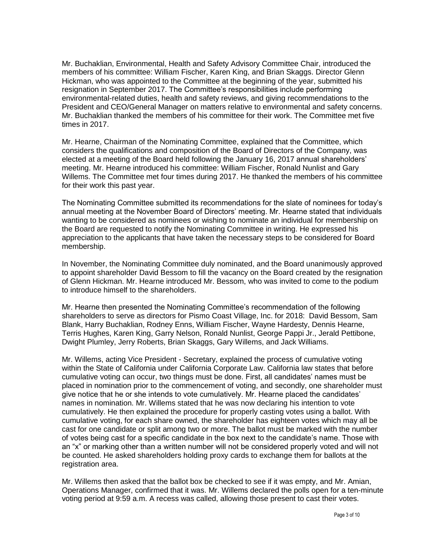Mr. Buchaklian, Environmental, Health and Safety Advisory Committee Chair, introduced the members of his committee: William Fischer, Karen King, and Brian Skaggs. Director Glenn Hickman, who was appointed to the Committee at the beginning of the year, submitted his resignation in September 2017. The Committee's responsibilities include performing environmental-related duties, health and safety reviews, and giving recommendations to the President and CEO/General Manager on matters relative to environmental and safety concerns. Mr. Buchaklian thanked the members of his committee for their work. The Committee met five times in 2017.

Mr. Hearne, Chairman of the Nominating Committee, explained that the Committee, which considers the qualifications and composition of the Board of Directors of the Company, was elected at a meeting of the Board held following the January 16, 2017 annual shareholders' meeting. Mr. Hearne introduced his committee: William Fischer, Ronald Nunlist and Gary Willems. The Committee met four times during 2017. He thanked the members of his committee for their work this past year.

The Nominating Committee submitted its recommendations for the slate of nominees for today's annual meeting at the November Board of Directors' meeting. Mr. Hearne stated that individuals wanting to be considered as nominees or wishing to nominate an individual for membership on the Board are requested to notify the Nominating Committee in writing. He expressed his appreciation to the applicants that have taken the necessary steps to be considered for Board membership.

In November, the Nominating Committee duly nominated, and the Board unanimously approved to appoint shareholder David Bessom to fill the vacancy on the Board created by the resignation of Glenn Hickman. Mr. Hearne introduced Mr. Bessom, who was invited to come to the podium to introduce himself to the shareholders.

Mr. Hearne then presented the Nominating Committee's recommendation of the following shareholders to serve as directors for Pismo Coast Village, Inc. for 2018: David Bessom, Sam Blank, Harry Buchaklian, Rodney Enns, William Fischer, Wayne Hardesty, Dennis Hearne, Terris Hughes, Karen King, Garry Nelson, Ronald Nunlist, George Pappi Jr., Jerald Pettibone, Dwight Plumley, Jerry Roberts, Brian Skaggs, Gary Willems, and Jack Williams.

Mr. Willems, acting Vice President - Secretary, explained the process of cumulative voting within the State of California under California Corporate Law. California law states that before cumulative voting can occur, two things must be done. First, all candidates' names must be placed in nomination prior to the commencement of voting, and secondly, one shareholder must give notice that he or she intends to vote cumulatively. Mr. Hearne placed the candidates' names in nomination. Mr. Willems stated that he was now declaring his intention to vote cumulatively. He then explained the procedure for properly casting votes using a ballot. With cumulative voting, for each share owned, the shareholder has eighteen votes which may all be cast for one candidate or split among two or more. The ballot must be marked with the number of votes being cast for a specific candidate in the box next to the candidate's name. Those with an "x" or marking other than a written number will not be considered properly voted and will not be counted. He asked shareholders holding proxy cards to exchange them for ballots at the registration area.

Mr. Willems then asked that the ballot box be checked to see if it was empty, and Mr. Amian, Operations Manager, confirmed that it was. Mr. Willems declared the polls open for a ten-minute voting period at 9:59 a.m. A recess was called, allowing those present to cast their votes.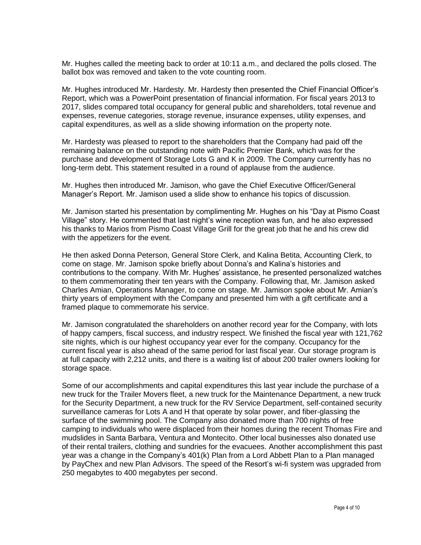Mr. Hughes called the meeting back to order at 10:11 a.m., and declared the polls closed. The ballot box was removed and taken to the vote counting room.

Mr. Hughes introduced Mr. Hardesty. Mr. Hardesty then presented the Chief Financial Officer's Report, which was a PowerPoint presentation of financial information. For fiscal years 2013 to 2017, slides compared total occupancy for general public and shareholders, total revenue and expenses, revenue categories, storage revenue, insurance expenses, utility expenses, and capital expenditures, as well as a slide showing information on the property note.

Mr. Hardesty was pleased to report to the shareholders that the Company had paid off the remaining balance on the outstanding note with Pacific Premier Bank, which was for the purchase and development of Storage Lots G and K in 2009. The Company currently has no long-term debt. This statement resulted in a round of applause from the audience.

Mr. Hughes then introduced Mr. Jamison, who gave the Chief Executive Officer/General Manager's Report. Mr. Jamison used a slide show to enhance his topics of discussion.

Mr. Jamison started his presentation by complimenting Mr. Hughes on his "Day at Pismo Coast Village" story. He commented that last night's wine reception was fun, and he also expressed his thanks to Marios from Pismo Coast Village Grill for the great job that he and his crew did with the appetizers for the event.

He then asked Donna Peterson, General Store Clerk, and Kalina Betita, Accounting Clerk, to come on stage. Mr. Jamison spoke briefly about Donna's and Kalina's histories and contributions to the company. With Mr. Hughes' assistance, he presented personalized watches to them commemorating their ten years with the Company. Following that, Mr. Jamison asked Charles Amian, Operations Manager, to come on stage. Mr. Jamison spoke about Mr. Amian's thirty years of employment with the Company and presented him with a gift certificate and a framed plaque to commemorate his service.

Mr. Jamison congratulated the shareholders on another record year for the Company, with lots of happy campers, fiscal success, and industry respect. We finished the fiscal year with 121,762 site nights, which is our highest occupancy year ever for the company. Occupancy for the current fiscal year is also ahead of the same period for last fiscal year. Our storage program is at full capacity with 2,212 units, and there is a waiting list of about 200 trailer owners looking for storage space.

Some of our accomplishments and capital expenditures this last year include the purchase of a new truck for the Trailer Movers fleet, a new truck for the Maintenance Department, a new truck for the Security Department, a new truck for the RV Service Department, self-contained security surveillance cameras for Lots A and H that operate by solar power, and fiber-glassing the surface of the swimming pool. The Company also donated more than 700 nights of free camping to individuals who were displaced from their homes during the recent Thomas Fire and mudslides in Santa Barbara, Ventura and Montecito. Other local businesses also donated use of their rental trailers, clothing and sundries for the evacuees. Another accomplishment this past year was a change in the Company's 401(k) Plan from a Lord Abbett Plan to a Plan managed by PayChex and new Plan Advisors. The speed of the Resort's wi-fi system was upgraded from 250 megabytes to 400 megabytes per second.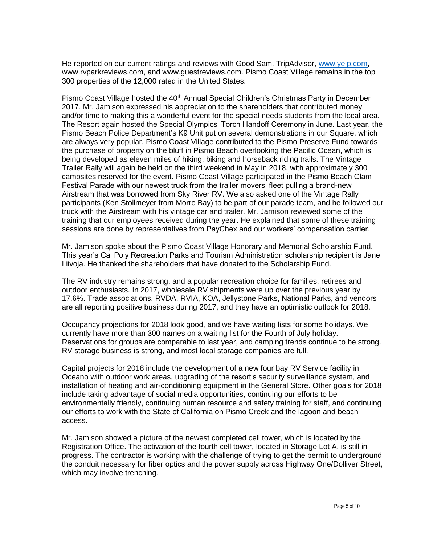He reported on our current ratings and reviews with Good Sam, TripAdvisor, [www.yelp.com,](http://www.yelp.com/) www.rvparkreviews.com, and www.guestreviews.com. Pismo Coast Village remains in the top 300 properties of the 12,000 rated in the United States.

Pismo Coast Village hosted the 40<sup>th</sup> Annual Special Children's Christmas Party in December 2017. Mr. Jamison expressed his appreciation to the shareholders that contributed money and/or time to making this a wonderful event for the special needs students from the local area. The Resort again hosted the Special Olympics' Torch Handoff Ceremony in June. Last year, the Pismo Beach Police Department's K9 Unit put on several demonstrations in our Square, which are always very popular. Pismo Coast Village contributed to the Pismo Preserve Fund towards the purchase of property on the bluff in Pismo Beach overlooking the Pacific Ocean, which is being developed as eleven miles of hiking, biking and horseback riding trails. The Vintage Trailer Rally will again be held on the third weekend in May in 2018, with approximately 300 campsites reserved for the event. Pismo Coast Village participated in the Pismo Beach Clam Festival Parade with our newest truck from the trailer movers' fleet pulling a brand-new Airstream that was borrowed from Sky River RV. We also asked one of the Vintage Rally participants (Ken Stollmeyer from Morro Bay) to be part of our parade team, and he followed our truck with the Airstream with his vintage car and trailer. Mr. Jamison reviewed some of the training that our employees received during the year. He explained that some of these training sessions are done by representatives from PayChex and our workers' compensation carrier.

Mr. Jamison spoke about the Pismo Coast Village Honorary and Memorial Scholarship Fund. This year's Cal Poly Recreation Parks and Tourism Administration scholarship recipient is Jane Liivoja. He thanked the shareholders that have donated to the Scholarship Fund.

The RV industry remains strong, and a popular recreation choice for families, retirees and outdoor enthusiasts. In 2017, wholesale RV shipments were up over the previous year by 17.6%. Trade associations, RVDA, RVIA, KOA, Jellystone Parks, National Parks, and vendors are all reporting positive business during 2017, and they have an optimistic outlook for 2018.

Occupancy projections for 2018 look good, and we have waiting lists for some holidays. We currently have more than 300 names on a waiting list for the Fourth of July holiday. Reservations for groups are comparable to last year, and camping trends continue to be strong. RV storage business is strong, and most local storage companies are full.

Capital projects for 2018 include the development of a new four bay RV Service facility in Oceano with outdoor work areas, upgrading of the resort's security surveillance system, and installation of heating and air-conditioning equipment in the General Store. Other goals for 2018 include taking advantage of social media opportunities, continuing our efforts to be environmentally friendly, continuing human resource and safety training for staff, and continuing our efforts to work with the State of California on Pismo Creek and the lagoon and beach access.

Mr. Jamison showed a picture of the newest completed cell tower, which is located by the Registration Office. The activation of the fourth cell tower, located in Storage Lot A, is still in progress. The contractor is working with the challenge of trying to get the permit to underground the conduit necessary for fiber optics and the power supply across Highway One/Dolliver Street, which may involve trenching.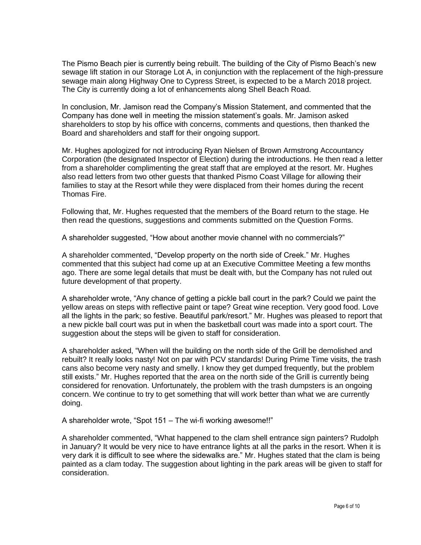The Pismo Beach pier is currently being rebuilt. The building of the City of Pismo Beach's new sewage lift station in our Storage Lot A, in conjunction with the replacement of the high-pressure sewage main along Highway One to Cypress Street, is expected to be a March 2018 project. The City is currently doing a lot of enhancements along Shell Beach Road.

In conclusion, Mr. Jamison read the Company's Mission Statement, and commented that the Company has done well in meeting the mission statement's goals. Mr. Jamison asked shareholders to stop by his office with concerns, comments and questions, then thanked the Board and shareholders and staff for their ongoing support.

Mr. Hughes apologized for not introducing Ryan Nielsen of Brown Armstrong Accountancy Corporation (the designated Inspector of Election) during the introductions. He then read a letter from a shareholder complimenting the great staff that are employed at the resort. Mr. Hughes also read letters from two other guests that thanked Pismo Coast Village for allowing their families to stay at the Resort while they were displaced from their homes during the recent Thomas Fire.

Following that, Mr. Hughes requested that the members of the Board return to the stage. He then read the questions, suggestions and comments submitted on the Question Forms.

A shareholder suggested, "How about another movie channel with no commercials?"

A shareholder commented, "Develop property on the north side of Creek." Mr. Hughes commented that this subject had come up at an Executive Committee Meeting a few months ago. There are some legal details that must be dealt with, but the Company has not ruled out future development of that property.

A shareholder wrote, "Any chance of getting a pickle ball court in the park? Could we paint the yellow areas on steps with reflective paint or tape? Great wine reception. Very good food. Love all the lights in the park; so festive. Beautiful park/resort." Mr. Hughes was pleased to report that a new pickle ball court was put in when the basketball court was made into a sport court. The suggestion about the steps will be given to staff for consideration.

A shareholder asked, "When will the building on the north side of the Grill be demolished and rebuilt? It really looks nasty! Not on par with PCV standards! During Prime Time visits, the trash cans also become very nasty and smelly. I know they get dumped frequently, but the problem still exists." Mr. Hughes reported that the area on the north side of the Grill is currently being considered for renovation. Unfortunately, the problem with the trash dumpsters is an ongoing concern. We continue to try to get something that will work better than what we are currently doing.

A shareholder wrote, "Spot 151 – The wi-fi working awesome!!"

A shareholder commented, "What happened to the clam shell entrance sign painters? Rudolph in January? It would be very nice to have entrance lights at all the parks in the resort. When it is very dark it is difficult to see where the sidewalks are." Mr. Hughes stated that the clam is being painted as a clam today. The suggestion about lighting in the park areas will be given to staff for consideration.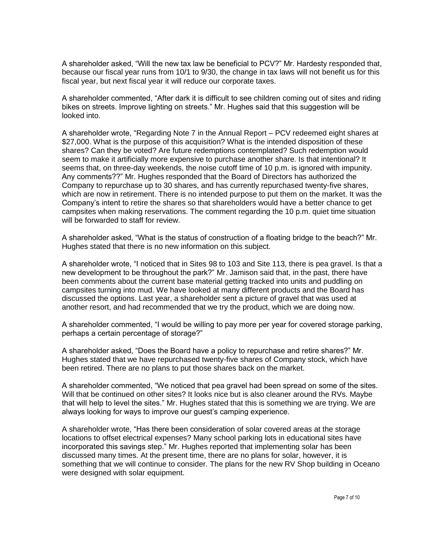A shareholder asked, "Will the new tax law be beneficial to PCV?" Mr. Hardesty responded that, because our fiscal year runs from 10/1 to 9/30, the change in tax laws will not benefit us for this fiscal year, but next fiscal year it will reduce our corporate taxes.

A shareholder commented, "After dark it is difficult to see children coming out of sites and riding bikes on streets. Improve lighting on streets." Mr. Hughes said that this suggestion will be looked into.

A shareholder wrote, "Regarding Note 7 in the Annual Report – PCV redeemed eight shares at \$27,000. What is the purpose of this acquisition? What is the intended disposition of these shares? Can they be voted? Are future redemptions contemplated? Such redemption would seem to make it artificially more expensive to purchase another share. Is that intentional? It seems that, on three-day weekends, the noise cutoff time of 10 p.m. is ignored with impunity. Any comments??" Mr. Hughes responded that the Board of Directors has authorized the Company to repurchase up to 30 shares, and has currently repurchased twenty-five shares, which are now in retirement. There is no intended purpose to put them on the market. It was the Company's intent to retire the shares so that shareholders would have a better chance to get campsites when making reservations. The comment regarding the 10 p.m. quiet time situation will be forwarded to staff for review.

A shareholder asked, "What is the status of construction of a floating bridge to the beach?" Mr. Hughes stated that there is no new information on this subject.

A shareholder wrote, "I noticed that in Sites 98 to 103 and Site 113, there is pea gravel. Is that a new development to be throughout the park?" Mr. Jamison said that, in the past, there have been comments about the current base material getting tracked into units and puddling on campsites turning into mud. We have looked at many different products and the Board has discussed the options. Last year, a shareholder sent a picture of gravel that was used at another resort, and had recommended that we try the product, which we are doing now.

A shareholder commented, "I would be willing to pay more per year for covered storage parking, perhaps a certain percentage of storage?"

A shareholder asked, "Does the Board have a policy to repurchase and retire shares?" Mr. Hughes stated that we have repurchased twenty-five shares of Company stock, which have been retired. There are no plans to put those shares back on the market.

A shareholder commented, "We noticed that pea gravel had been spread on some of the sites. Will that be continued on other sites? It looks nice but is also cleaner around the RVs. Maybe that will help to level the sites." Mr. Hughes stated that this is something we are trying. We are always looking for ways to improve our guest's camping experience.

A shareholder wrote, "Has there been consideration of solar covered areas at the storage locations to offset electrical expenses? Many school parking lots in educational sites have incorporated this savings step." Mr. Hughes reported that implementing solar has been discussed many times. At the present time, there are no plans for solar, however, it is something that we will continue to consider. The plans for the new RV Shop building in Oceano were designed with solar equipment.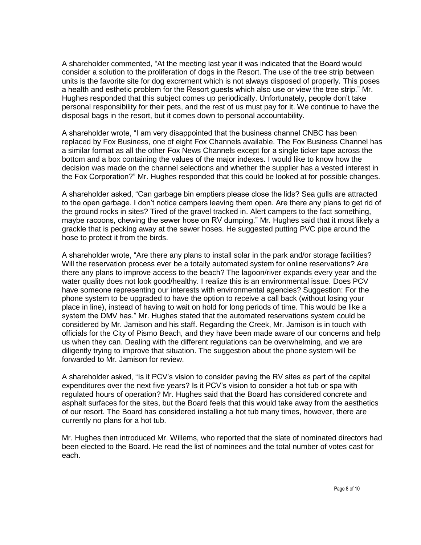A shareholder commented, "At the meeting last year it was indicated that the Board would consider a solution to the proliferation of dogs in the Resort. The use of the tree strip between units is the favorite site for dog excrement which is not always disposed of properly. This poses a health and esthetic problem for the Resort guests which also use or view the tree strip." Mr. Hughes responded that this subject comes up periodically. Unfortunately, people don't take personal responsibility for their pets, and the rest of us must pay for it. We continue to have the disposal bags in the resort, but it comes down to personal accountability.

A shareholder wrote, "I am very disappointed that the business channel CNBC has been replaced by Fox Business, one of eight Fox Channels available. The Fox Business Channel has a similar format as all the other Fox News Channels except for a single ticker tape across the bottom and a box containing the values of the major indexes. I would like to know how the decision was made on the channel selections and whether the supplier has a vested interest in the Fox Corporation?" Mr. Hughes responded that this could be looked at for possible changes.

A shareholder asked, "Can garbage bin emptiers please close the lids? Sea gulls are attracted to the open garbage. I don't notice campers leaving them open. Are there any plans to get rid of the ground rocks in sites? Tired of the gravel tracked in. Alert campers to the fact something, maybe racoons, chewing the sewer hose on RV dumping." Mr. Hughes said that it most likely a grackle that is pecking away at the sewer hoses. He suggested putting PVC pipe around the hose to protect it from the birds.

A shareholder wrote, "Are there any plans to install solar in the park and/or storage facilities? Will the reservation process ever be a totally automated system for online reservations? Are there any plans to improve access to the beach? The lagoon/river expands every year and the water quality does not look good/healthy. I realize this is an environmental issue. Does PCV have someone representing our interests with environmental agencies? Suggestion: For the phone system to be upgraded to have the option to receive a call back (without losing your place in line), instead of having to wait on hold for long periods of time. This would be like a system the DMV has." Mr. Hughes stated that the automated reservations system could be considered by Mr. Jamison and his staff. Regarding the Creek, Mr. Jamison is in touch with officials for the City of Pismo Beach, and they have been made aware of our concerns and help us when they can. Dealing with the different regulations can be overwhelming, and we are diligently trying to improve that situation. The suggestion about the phone system will be forwarded to Mr. Jamison for review.

A shareholder asked, "Is it PCV's vision to consider paving the RV sites as part of the capital expenditures over the next five years? Is it PCV's vision to consider a hot tub or spa with regulated hours of operation? Mr. Hughes said that the Board has considered concrete and asphalt surfaces for the sites, but the Board feels that this would take away from the aesthetics of our resort. The Board has considered installing a hot tub many times, however, there are currently no plans for a hot tub.

Mr. Hughes then introduced Mr. Willems, who reported that the slate of nominated directors had been elected to the Board. He read the list of nominees and the total number of votes cast for each.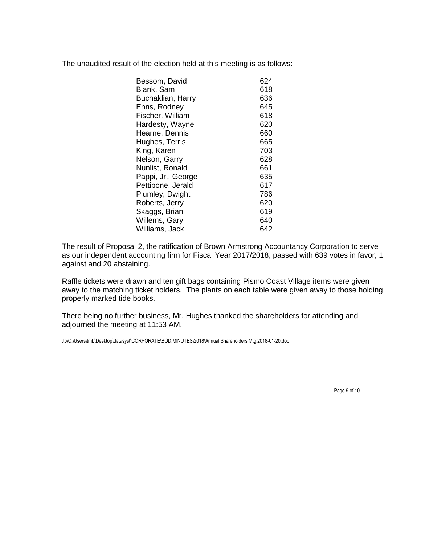The unaudited result of the election held at this meeting is as follows:

| Bessom, David      | 624 |
|--------------------|-----|
| Blank, Sam         | 618 |
| Buchaklian, Harry  | 636 |
| Enns, Rodney       | 645 |
| Fischer, William   | 618 |
| Hardesty, Wayne    | 620 |
| Hearne, Dennis     | 660 |
| Hughes, Terris     | 665 |
| King, Karen        | 703 |
| Nelson, Garry      | 628 |
| Nunlist, Ronald    | 661 |
| Pappi, Jr., George | 635 |
| Pettibone, Jerald  | 617 |
| Plumley, Dwight    | 786 |
| Roberts, Jerry     | 620 |
| Skaggs, Brian      | 619 |
| Willems, Gary      | 640 |
| Williams, Jack     | 642 |
|                    |     |

The result of Proposal 2, the ratification of Brown Armstrong Accountancy Corporation to serve as our independent accounting firm for Fiscal Year 2017/2018, passed with 639 votes in favor, 1 against and 20 abstaining.

Raffle tickets were drawn and ten gift bags containing Pismo Coast Village items were given away to the matching ticket holders. The plants on each table were given away to those holding properly marked tide books.

There being no further business, Mr. Hughes thanked the shareholders for attending and adjourned the meeting at 11:53 AM.

:tb/C:\Users\tmb\Desktop\datasyst\CORPORATE\BOD.MINUTES\2018\Annual.Shareholders.Mtg.2018-01-20.doc

Page 9 of 10